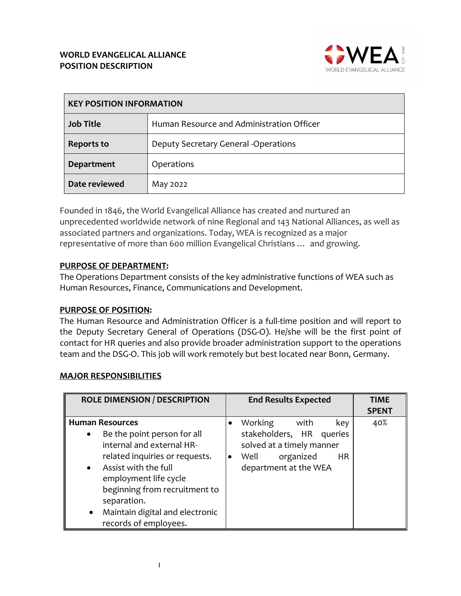

| <b>KEY POSITION INFORMATION</b> |                                           |
|---------------------------------|-------------------------------------------|
| <b>Job Title</b>                | Human Resource and Administration Officer |
| <b>Reports to</b>               | Deputy Secretary General -Operations      |
| <b>Department</b>               | Operations                                |
| Date reviewed                   | May 2022                                  |

Founded in 1846, the World Evangelical Alliance has created and nurtured an unprecedented worldwide network of nine Regional and 143 National Alliances, as well as associated partners and organizations. Today, WEA is recognized as a major representative of more than 600 million Evangelical Christians … and growing.

## **PURPOSE OF DEPARTMENT:**

The Operations Department consists of the key administrative functions of WEA such as Human Resources, Finance, Communications and Development.

## **PURPOSE OF POSITION:**

The Human Resource and Administration Officer is a full-time position and will report to the Deputy Secretary General of Operations (DSG-O). He/she will be the first point of contact for HR queries and also provide broader administration support to the operations team and the DSG-O. This job will work remotely but best located near Bonn, Germany.

## **MAJOR RESPONSIBILITIES**

| <b>ROLE DIMENSION / DESCRIPTION</b>                                                                                                                                                                                                                                                                                      | <b>End Results Expected</b>                                                                                                                             | <b>TIME</b><br><b>SPENT</b> |
|--------------------------------------------------------------------------------------------------------------------------------------------------------------------------------------------------------------------------------------------------------------------------------------------------------------------------|---------------------------------------------------------------------------------------------------------------------------------------------------------|-----------------------------|
| <b>Human Resources</b><br>Be the point person for all<br>$\bullet$<br>internal and external HR-<br>related inquiries or requests.<br>Assist with the full<br>$\bullet$<br>employment life cycle<br>beginning from recruitment to<br>separation.<br>Maintain digital and electronic<br>$\bullet$<br>records of employees. | Working<br>with<br>key<br>stakeholders, HR queries<br>solved at a timely manner<br>Well<br>organized<br><b>HR</b><br>$\bullet$<br>department at the WEA | 40%                         |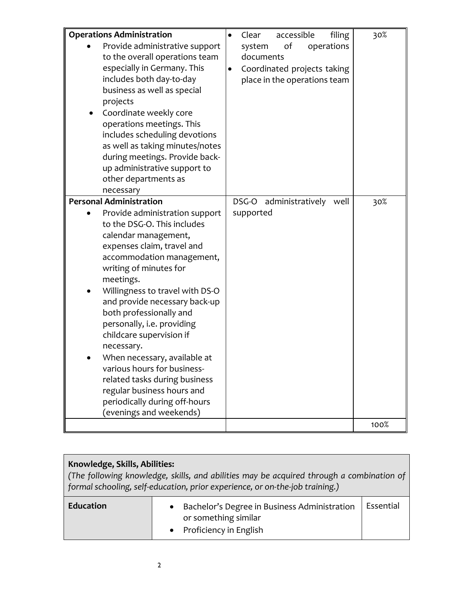| <b>Operations Administration</b><br>Provide administrative support<br>to the overall operations team<br>especially in Germany. This<br>includes both day-to-day<br>business as well as special<br>projects<br>Coordinate weekly core<br>operations meetings. This<br>includes scheduling devotions<br>as well as taking minutes/notes<br>during meetings. Provide back-<br>up administrative support to<br>other departments as<br>necessary                                                                                                                                               | accessible<br>filing<br>Clear<br>оf<br>system<br>operations<br>documents<br>Coordinated projects taking<br>$\bullet$<br>place in the operations team | 30%  |
|--------------------------------------------------------------------------------------------------------------------------------------------------------------------------------------------------------------------------------------------------------------------------------------------------------------------------------------------------------------------------------------------------------------------------------------------------------------------------------------------------------------------------------------------------------------------------------------------|------------------------------------------------------------------------------------------------------------------------------------------------------|------|
| <b>Personal Administration</b><br>Provide administration support<br>to the DSG-O. This includes<br>calendar management,<br>expenses claim, travel and<br>accommodation management,<br>writing of minutes for<br>meetings.<br>Willingness to travel with DS-O<br>and provide necessary back-up<br>both professionally and<br>personally, i.e. providing<br>childcare supervision if<br>necessary.<br>When necessary, available at<br>various hours for business-<br>related tasks during business<br>regular business hours and<br>periodically during off-hours<br>(evenings and weekends) | DSG-O administratively well<br>supported                                                                                                             | 30%  |
|                                                                                                                                                                                                                                                                                                                                                                                                                                                                                                                                                                                            |                                                                                                                                                      | 100% |

| Knowledge, Skills, Abilities:<br>$\mid$ (The following knowledge, skills, and abilities may be acquired through a combination of<br>  formal schooling, self-education, prior experience, or on-the-job training.) |                                                                                                  |           |  |
|--------------------------------------------------------------------------------------------------------------------------------------------------------------------------------------------------------------------|--------------------------------------------------------------------------------------------------|-----------|--|
| <b>Education</b>                                                                                                                                                                                                   | Bachelor's Degree in Business Administration<br>or something similar<br>• Proficiency in English | Essential |  |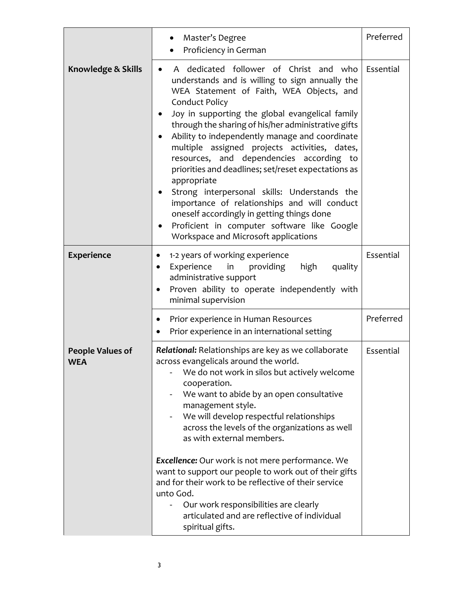|                                       | Master's Degree<br>$\bullet$<br>Proficiency in German                                                                                                                                                                                                                                                                                                                                                                                                                                                                                                                                                                                                                                                                                           | Preferred |
|---------------------------------------|-------------------------------------------------------------------------------------------------------------------------------------------------------------------------------------------------------------------------------------------------------------------------------------------------------------------------------------------------------------------------------------------------------------------------------------------------------------------------------------------------------------------------------------------------------------------------------------------------------------------------------------------------------------------------------------------------------------------------------------------------|-----------|
| Knowledge & Skills                    | A dedicated follower of Christ and who<br>understands and is willing to sign annually the<br>WEA Statement of Faith, WEA Objects, and<br><b>Conduct Policy</b><br>Joy in supporting the global evangelical family<br>through the sharing of his/her administrative gifts<br>Ability to independently manage and coordinate<br>multiple assigned projects activities, dates,<br>resources, and dependencies according to<br>priorities and deadlines; set/reset expectations as<br>appropriate<br>Strong interpersonal skills: Understands the<br>$\bullet$<br>importance of relationships and will conduct<br>oneself accordingly in getting things done<br>Proficient in computer software like Google<br>Workspace and Microsoft applications | Essential |
| <b>Experience</b>                     | 1-2 years of working experience<br>$\bullet$<br>Experience<br>in providing<br>high<br>quality<br>$\bullet$<br>administrative support<br>Proven ability to operate independently with<br>٠<br>minimal supervision                                                                                                                                                                                                                                                                                                                                                                                                                                                                                                                                | Essential |
|                                       | Prior experience in Human Resources<br>$\bullet$<br>Prior experience in an international setting                                                                                                                                                                                                                                                                                                                                                                                                                                                                                                                                                                                                                                                | Preferred |
| <b>People Values of</b><br><b>WEA</b> | Relational: Relationships are key as we collaborate<br>across evangelicals around the world.<br>We do not work in silos but actively welcome<br>cooperation.<br>We want to abide by an open consultative<br>management style.<br>We will develop respectful relationships<br>across the levels of the organizations as well<br>as with external members.<br>Excellence: Our work is not mere performance. We<br>want to support our people to work out of their gifts<br>and for their work to be reflective of their service<br>unto God.<br>Our work responsibilities are clearly<br>articulated and are reflective of individual<br>spiritual gifts.                                                                                         | Essential |